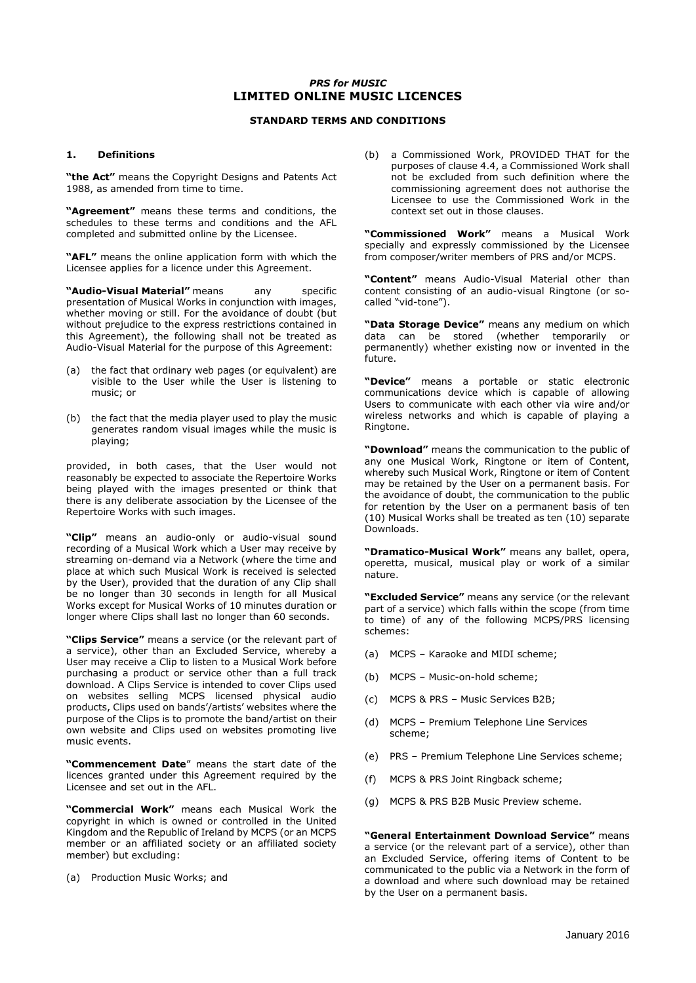# *PRS for MUSIC* **LIMITED ONLINE MUSIC LICENCES**

# **STANDARD TERMS AND CONDITIONS**

#### **1. Definitions**

**"the Act"** means the Copyright Designs and Patents Act 1988, as amended from time to time.

**"Agreement"** means these terms and conditions, the schedules to these terms and conditions and the AFL completed and submitted online by the Licensee.

**"AFL"** means the online application form with which the Licensee applies for a licence under this Agreement.

**"Audio-Visual Material"** means any specific presentation of Musical Works in conjunction with images, whether moving or still. For the avoidance of doubt (but without prejudice to the express restrictions contained in this Agreement), the following shall not be treated as Audio-Visual Material for the purpose of this Agreement:

- (a) the fact that ordinary web pages (or equivalent) are visible to the User while the User is listening to music; or
- (b) the fact that the media player used to play the music generates random visual images while the music is playing;

provided, in both cases, that the User would not reasonably be expected to associate the Repertoire Works being played with the images presented or think that there is any deliberate association by the Licensee of the Repertoire Works with such images.

**"Clip"** means an audio-only or audio-visual sound recording of a Musical Work which a User may receive by streaming on-demand via a Network (where the time and place at which such Musical Work is received is selected by the User), provided that the duration of any Clip shall be no longer than 30 seconds in length for all Musical Works except for Musical Works of 10 minutes duration or longer where Clips shall last no longer than 60 seconds.

**"Clips Service"** means a service (or the relevant part of a service), other than an Excluded Service, whereby a User may receive a Clip to listen to a Musical Work before purchasing a product or service other than a full track download. A Clips Service is intended to cover Clips used on websites selling MCPS licensed physical audio products, Clips used on bands'/artists' websites where the purpose of the Clips is to promote the band/artist on their own website and Clips used on websites promoting live music events.

**"Commencement Date**" means the start date of the licences granted under this Agreement required by the Licensee and set out in the AFL.

**"Commercial Work"** means each Musical Work the copyright in which is owned or controlled in the United Kingdom and the Republic of Ireland by MCPS (or an MCPS member or an affiliated society or an affiliated society member) but excluding:

(a) Production Music Works; and

(b) a Commissioned Work, PROVIDED THAT for the purposes of clause 4.4, a Commissioned Work shall not be excluded from such definition where the commissioning agreement does not authorise the Licensee to use the Commissioned Work in the context set out in those clauses.

**"Commissioned Work"** means a Musical Work specially and expressly commissioned by the Licensee from composer/writer members of PRS and/or MCPS.

**"Content"** means Audio-Visual Material other than content consisting of an audio-visual Ringtone (or socalled "vid-tone").

**"Data Storage Device"** means any medium on which data can be stored (whether temporarily or permanently) whether existing now or invented in the future.

**"Device"** means a portable or static electronic communications device which is capable of allowing Users to communicate with each other via wire and/or wireless networks and which is capable of playing a Ringtone.

**"Download"** means the communication to the public of any one Musical Work, Ringtone or item of Content, whereby such Musical Work, Ringtone or item of Content may be retained by the User on a permanent basis. For the avoidance of doubt, the communication to the public for retention by the User on a permanent basis of ten (10) Musical Works shall be treated as ten (10) separate Downloads.

**"Dramatico-Musical Work"** means any ballet, opera, operetta, musical, musical play or work of a similar nature.

**"Excluded Service"** means any service (or the relevant part of a service) which falls within the scope (from time to time) of any of the following MCPS/PRS licensing schemes:

- (a) MCPS Karaoke and MIDI scheme;
- (b) MCPS Music-on-hold scheme;
- (c) MCPS & PRS Music Services B2B;
- (d) MCPS Premium Telephone Line Services scheme;
- (e) PRS Premium Telephone Line Services scheme;
- (f) MCPS & PRS Joint Ringback scheme;
- (g) MCPS & PRS B2B Music Preview scheme.

**"General Entertainment Download Service"** means a service (or the relevant part of a service), other than an Excluded Service, offering items of Content to be communicated to the public via a Network in the form of a download and where such download may be retained by the User on a permanent basis.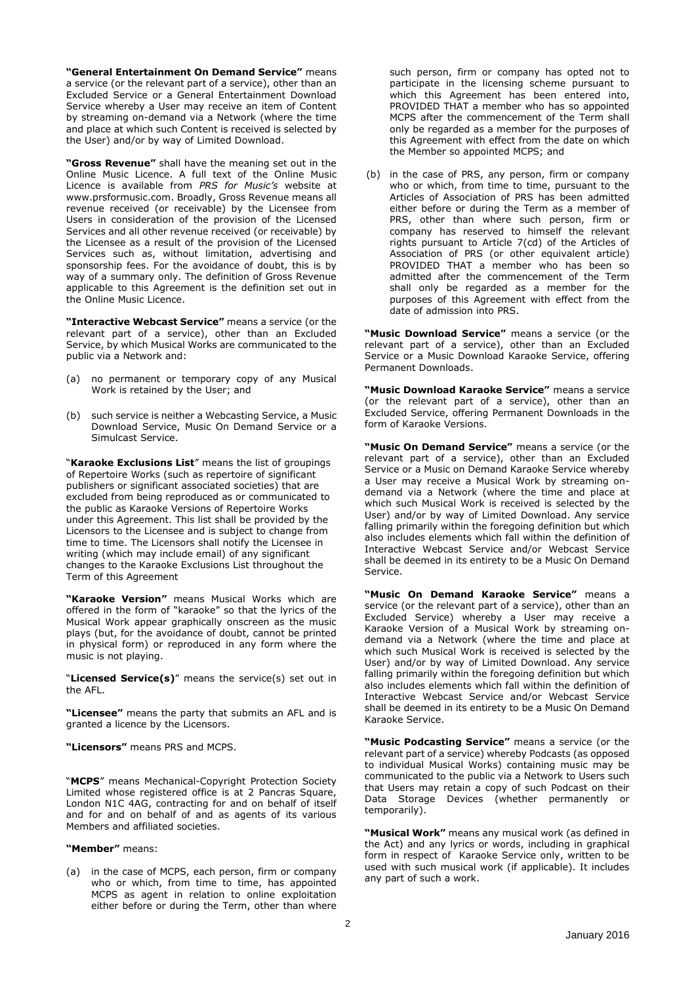**"General Entertainment On Demand Service"** means a service (or the relevant part of a service), other than an Excluded Service or a General Entertainment Download Service whereby a User may receive an item of Content by streaming on-demand via a Network (where the time and place at which such Content is received is selected by the User) and/or by way of Limited Download.

**"Gross Revenue"** shall have the meaning set out in the Online Music Licence. A full text of the Online Music Licence is available from *PRS for Music's* website at www.prsformusic.com. Broadly, Gross Revenue means all revenue received (or receivable) by the Licensee from Users in consideration of the provision of the Licensed Services and all other revenue received (or receivable) by the Licensee as a result of the provision of the Licensed Services such as, without limitation, advertising and sponsorship fees. For the avoidance of doubt, this is by way of a summary only. The definition of Gross Revenue applicable to this Agreement is the definition set out in the Online Music Licence.

**"Interactive Webcast Service"** means a service (or the relevant part of a service), other than an Excluded Service, by which Musical Works are communicated to the public via a Network and:

- (a) no permanent or temporary copy of any Musical Work is retained by the User; and
- (b) such service is neither a Webcasting Service, a Music Download Service, Music On Demand Service or a Simulcast Service.

"**Karaoke Exclusions List**" means the list of groupings of Repertoire Works (such as repertoire of significant publishers or significant associated societies) that are excluded from being reproduced as or communicated to the public as Karaoke Versions of Repertoire Works under this Agreement. This list shall be provided by the Licensors to the Licensee and is subject to change from time to time. The Licensors shall notify the Licensee in writing (which may include email) of any significant changes to the Karaoke Exclusions List throughout the Term of this Agreement

**"Karaoke Version"** means Musical Works which are offered in the form of "karaoke" so that the lyrics of the Musical Work appear graphically onscreen as the music plays (but, for the avoidance of doubt, cannot be printed in physical form) or reproduced in any form where the music is not playing.

"**Licensed Service(s)**" means the service(s) set out in the AFL.

**"Licensee"** means the party that submits an AFL and is granted a licence by the Licensors.

**"Licensors"** means PRS and MCPS.

"**MCPS**" means Mechanical-Copyright Protection Society Limited whose registered office is at 2 Pancras Square, London N1C 4AG, contracting for and on behalf of itself and for and on behalf of and as agents of its various Members and affiliated societies.

**"Member"** means:

(a) in the case of MCPS, each person, firm or company who or which, from time to time, has appointed MCPS as agent in relation to online exploitation either before or during the Term, other than where such person, firm or company has opted not to participate in the licensing scheme pursuant to which this Agreement has been entered into, PROVIDED THAT a member who has so appointed MCPS after the commencement of the Term shall only be regarded as a member for the purposes of this Agreement with effect from the date on which the Member so appointed MCPS; and

(b) in the case of PRS, any person, firm or company who or which, from time to time, pursuant to the Articles of Association of PRS has been admitted either before or during the Term as a member of PRS, other than where such person, firm or company has reserved to himself the relevant rights pursuant to Article 7(cd) of the Articles of Association of PRS (or other equivalent article) PROVIDED THAT a member who has been so admitted after the commencement of the Term shall only be regarded as a member for the purposes of this Agreement with effect from the date of admission into PRS.

**"Music Download Service"** means a service (or the relevant part of a service), other than an Excluded Service or a Music Download Karaoke Service, offering Permanent Downloads.

**"Music Download Karaoke Service"** means a service (or the relevant part of a service), other than an Excluded Service, offering Permanent Downloads in the form of Karaoke Versions.

**"Music On Demand Service"** means a service (or the relevant part of a service), other than an Excluded Service or a Music on Demand Karaoke Service whereby a User may receive a Musical Work by streaming ondemand via a Network (where the time and place at which such Musical Work is received is selected by the User) and/or by way of Limited Download. Any service falling primarily within the foregoing definition but which also includes elements which fall within the definition of Interactive Webcast Service and/or Webcast Service shall be deemed in its entirety to be a Music On Demand Service.

**"Music On Demand Karaoke Service"** means a service (or the relevant part of a service), other than an Excluded Service) whereby a User may receive a Karaoke Version of a Musical Work by streaming ondemand via a Network (where the time and place at which such Musical Work is received is selected by the User) and/or by way of Limited Download. Any service falling primarily within the foregoing definition but which also includes elements which fall within the definition of Interactive Webcast Service and/or Webcast Service shall be deemed in its entirety to be a Music On Demand Karaoke Service.

**"Music Podcasting Service"** means a service (or the relevant part of a service) whereby Podcasts (as opposed to individual Musical Works) containing music may be communicated to the public via a Network to Users such that Users may retain a copy of such Podcast on their Data Storage Devices (whether permanently temporarily).

**"Musical Work"** means any musical work (as defined in the Act) and any lyrics or words, including in graphical form in respect of Karaoke Service only, written to be used with such musical work (if applicable). It includes any part of such a work.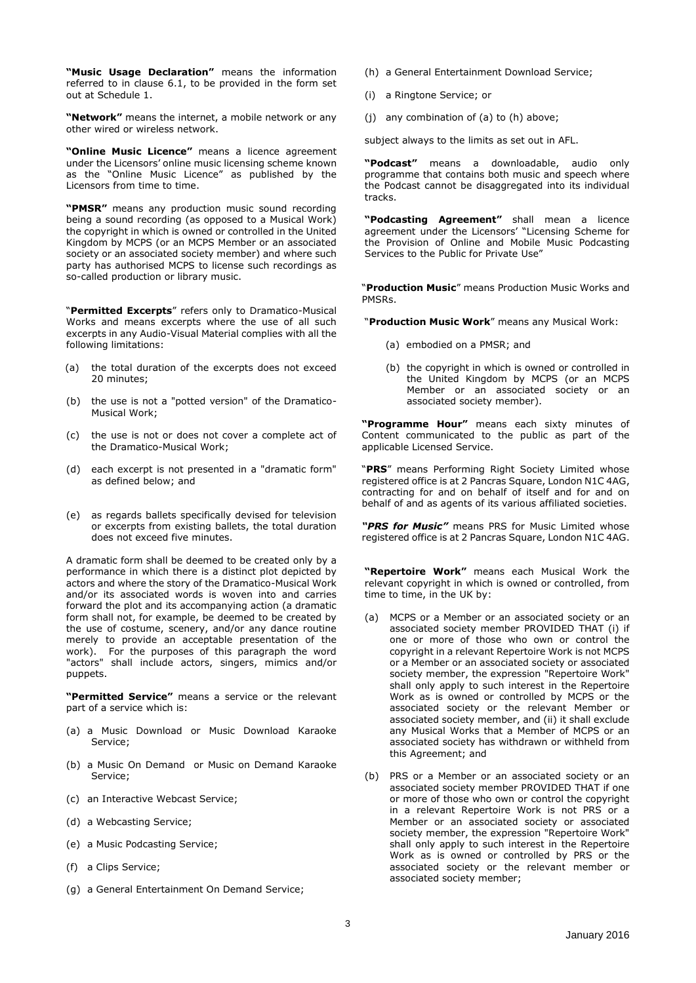**"Music Usage Declaration"** means the information referred to in clause 6.1, to be provided in the form set out at Schedule 1.

**"Network"** means the internet, a mobile network or any other wired or wireless network.

**"Online Music Licence"** means a licence agreement under the Licensors' online music licensing scheme known as the "Online Music Licence" as published by the Licensors from time to time.

**"PMSR"** means any production music sound recording being a sound recording (as opposed to a Musical Work) the copyright in which is owned or controlled in the United Kingdom by MCPS (or an MCPS Member or an associated society or an associated society member) and where such party has authorised MCPS to license such recordings as so-called production or library music.

"**Permitted Excerpts**" refers only to Dramatico-Musical Works and means excerpts where the use of all such excerpts in any Audio-Visual Material complies with all the following limitations:

- (a) the total duration of the excerpts does not exceed 20 minutes;
- (b) the use is not a "potted version" of the Dramatico-Musical Work;
- (c) the use is not or does not cover a complete act of the Dramatico-Musical Work;
- (d) each excerpt is not presented in a "dramatic form" as defined below; and
- (e) as regards ballets specifically devised for television or excerpts from existing ballets, the total duration does not exceed five minutes.

A dramatic form shall be deemed to be created only by a performance in which there is a distinct plot depicted by actors and where the story of the Dramatico-Musical Work and/or its associated words is woven into and carries forward the plot and its accompanying action (a dramatic form shall not, for example, be deemed to be created by the use of costume, scenery, and/or any dance routine merely to provide an acceptable presentation of the work). For the purposes of this paragraph the word "actors" shall include actors, singers, mimics and/or puppets.

**"Permitted Service"** means a service or the relevant part of a service which is:

- (a) a Music Download or Music Download Karaoke Service;
- (b) a Music On Demand or Music on Demand Karaoke Service;
- (c) an Interactive Webcast Service;
- (d) a Webcasting Service;
- (e) a Music Podcasting Service;
- (f) a Clips Service;
- (g) a General Entertainment On Demand Service;
- (h) a General Entertainment Download Service;
- (i) a Ringtone Service; or
- (j) any combination of (a) to (h) above;

subject always to the limits as set out in AFL.

**"Podcast"** means a downloadable, audio only programme that contains both music and speech where the Podcast cannot be disaggregated into its individual tracks.

**"Podcasting Agreement"** shall mean a licence agreement under the Licensors' "Licensing Scheme for the Provision of Online and Mobile Music Podcasting Services to the Public for Private Use"

"**Production Music**" means Production Music Works and PMSRs.

"**Production Music Work**" means any Musical Work:

- (a) embodied on a PMSR; and
- (b) the copyright in which is owned or controlled in the United Kingdom by MCPS (or an MCPS Member or an associated society or an associated society member).

**"Programme Hour"** means each sixty minutes of Content communicated to the public as part of the applicable Licensed Service.

"**PRS**" means Performing Right Society Limited whose registered office is at 2 Pancras Square, London N1C 4AG, contracting for and on behalf of itself and for and on behalf of and as agents of its various affiliated societies.

*"PRS for Music"* means PRS for Music Limited whose registered office is at 2 Pancras Square, London N1C 4AG.

**"Repertoire Work"** means each Musical Work the relevant copyright in which is owned or controlled, from time to time, in the UK by:

- (a) MCPS or a Member or an associated society or an associated society member PROVIDED THAT (i) if one or more of those who own or control the copyright in a relevant Repertoire Work is not MCPS or a Member or an associated society or associated society member, the expression "Repertoire Work" shall only apply to such interest in the Repertoire Work as is owned or controlled by MCPS or the associated society or the relevant Member or associated society member, and (ii) it shall exclude any Musical Works that a Member of MCPS or an associated society has withdrawn or withheld from this Agreement; and
- (b) PRS or a Member or an associated society or an associated society member PROVIDED THAT if one or more of those who own or control the copyright in a relevant Repertoire Work is not PRS or a Member or an associated society or associated society member, the expression "Repertoire Work" shall only apply to such interest in the Repertoire Work as is owned or controlled by PRS or the associated society or the relevant member or associated society member;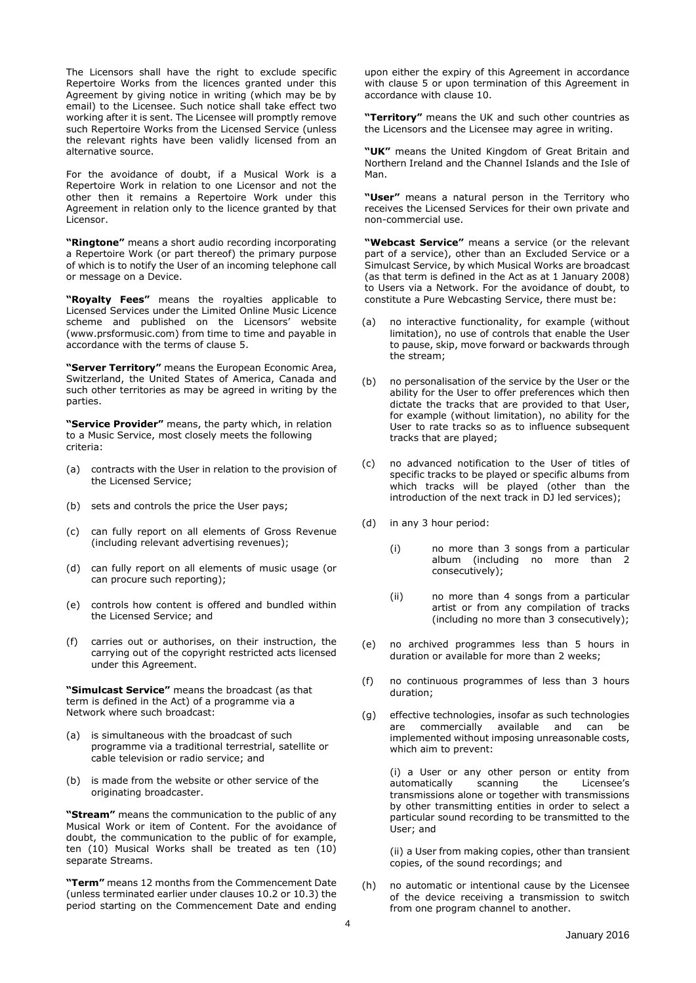The Licensors shall have the right to exclude specific Repertoire Works from the licences granted under this Agreement by giving notice in writing (which may be by email) to the Licensee. Such notice shall take effect two working after it is sent. The Licensee will promptly remove such Repertoire Works from the Licensed Service (unless the relevant rights have been validly licensed from an alternative source.

For the avoidance of doubt, if a Musical Work is a Repertoire Work in relation to one Licensor and not the other then it remains a Repertoire Work under this Agreement in relation only to the licence granted by that Licensor.

**"Ringtone"** means a short audio recording incorporating a Repertoire Work (or part thereof) the primary purpose of which is to notify the User of an incoming telephone call or message on a Device.

**"Royalty Fees"** means the royalties applicable to Licensed Services under the Limited Online Music Licence scheme and published on the Licensors' website (www.prsformusic.com) from time to time and payable in accordance with the terms of clause 5.

**"Server Territory"** means the European Economic Area, Switzerland, the United States of America, Canada and such other territories as may be agreed in writing by the parties.

**"Service Provider"** means, the party which, in relation to a Music Service, most closely meets the following criteria:

- (a) contracts with the User in relation to the provision of the Licensed Service;
- (b) sets and controls the price the User pays;
- (c) can fully report on all elements of Gross Revenue (including relevant advertising revenues);
- (d) can fully report on all elements of music usage (or can procure such reporting);
- (e) controls how content is offered and bundled within the Licensed Service; and
- (f) carries out or authorises, on their instruction, the carrying out of the copyright restricted acts licensed under this Agreement.

**"Simulcast Service"** means the broadcast (as that term is defined in the Act) of a programme via a Network where such broadcast:

- (a) is simultaneous with the broadcast of such programme via a traditional terrestrial, satellite or cable television or radio service; and
- (b) is made from the website or other service of the originating broadcaster.

**"Stream"** means the communication to the public of any Musical Work or item of Content. For the avoidance of doubt, the communication to the public of for example, ten (10) Musical Works shall be treated as ten (10) separate Streams.

**"Term"** means 12 months from the Commencement Date (unless terminated earlier under clauses 10.2 or 10.3) the period starting on the Commencement Date and ending

upon either the expiry of this Agreement in accordance with clause 5 or upon termination of this Agreement in accordance with clause 10.

**"Territory"** means the UK and such other countries as the Licensors and the Licensee may agree in writing.

**"UK"** means the United Kingdom of Great Britain and Northern Ireland and the Channel Islands and the Isle of Man.

**"User"** means a natural person in the Territory who receives the Licensed Services for their own private and non-commercial use.

**"Webcast Service"** means a service (or the relevant part of a service), other than an Excluded Service or a Simulcast Service, by which Musical Works are broadcast (as that term is defined in the Act as at 1 January 2008) to Users via a Network. For the avoidance of doubt, to constitute a Pure Webcasting Service, there must be:

- (a) no interactive functionality, for example (without limitation), no use of controls that enable the User to pause, skip, move forward or backwards through the stream;
- (b) no personalisation of the service by the User or the ability for the User to offer preferences which then dictate the tracks that are provided to that User, for example (without limitation), no ability for the User to rate tracks so as to influence subsequent tracks that are played;
- (c) no advanced notification to the User of titles of specific tracks to be played or specific albums from which tracks will be played (other than the introduction of the next track in DJ led services);
- (d) in any 3 hour period:
	- (i) no more than 3 songs from a particular album (including no more than 2 consecutively);
	- (ii) no more than 4 songs from a particular artist or from any compilation of tracks (including no more than 3 consecutively);
- (e) no archived programmes less than 5 hours in duration or available for more than 2 weeks;
- (f) no continuous programmes of less than 3 hours duration;
- (g) effective technologies, insofar as such technologies are commercially available and can be implemented without imposing unreasonable costs, which aim to prevent:

(i) a User or any other person or entity from automatically scanning the Licensee's transmissions alone or together with transmissions by other transmitting entities in order to select a particular sound recording to be transmitted to the User; and

(ii) a User from making copies, other than transient copies, of the sound recordings; and

(h) no automatic or intentional cause by the Licensee of the device receiving a transmission to switch from one program channel to another.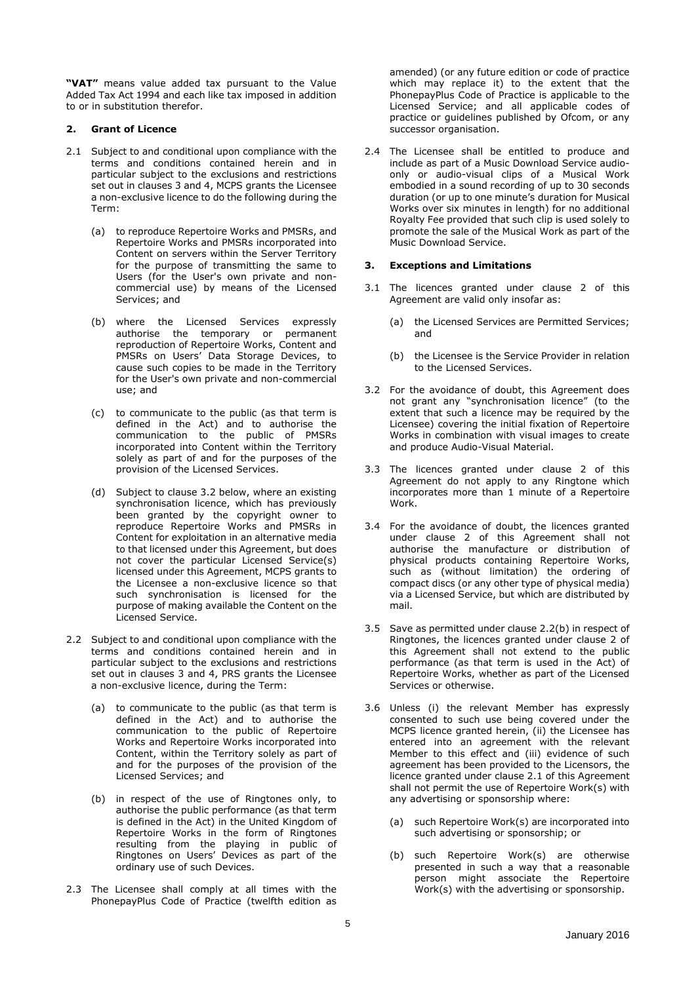**"VAT"** means value added tax pursuant to the Value Added Tax Act 1994 and each like tax imposed in addition to or in substitution therefor.

#### **2. Grant of Licence**

- 2.1 Subject to and conditional upon compliance with the terms and conditions contained herein and in particular subject to the exclusions and restrictions set out in clauses 3 and 4, MCPS grants the Licensee a non-exclusive licence to do the following during the Term:
	- (a) to reproduce Repertoire Works and PMSRs, and Repertoire Works and PMSRs incorporated into Content on servers within the Server Territory for the purpose of transmitting the same to Users (for the User's own private and noncommercial use) by means of the Licensed Services; and
	- (b) where the Licensed Services expressly authorise the temporary or permanent reproduction of Repertoire Works, Content and PMSRs on Users' Data Storage Devices, to cause such copies to be made in the Territory for the User's own private and non-commercial use; and
	- (c) to communicate to the public (as that term is defined in the Act) and to authorise the communication to the public of PMSRs incorporated into Content within the Territory solely as part of and for the purposes of the provision of the Licensed Services.
	- (d) Subject to clause 3.2 below, where an existing synchronisation licence, which has previously been granted by the copyright owner to reproduce Repertoire Works and PMSRs in Content for exploitation in an alternative media to that licensed under this Agreement, but does not cover the particular Licensed Service(s) licensed under this Agreement, MCPS grants to the Licensee a non-exclusive licence so that such synchronisation is licensed for the purpose of making available the Content on the Licensed Service.
- 2.2 Subject to and conditional upon compliance with the terms and conditions contained herein and in particular subject to the exclusions and restrictions set out in clauses 3 and 4, PRS grants the Licensee a non-exclusive licence, during the Term:
	- (a) to communicate to the public (as that term is defined in the Act) and to authorise the communication to the public of Repertoire Works and Repertoire Works incorporated into Content, within the Territory solely as part of and for the purposes of the provision of the Licensed Services; and
	- (b) in respect of the use of Ringtones only, to authorise the public performance (as that term is defined in the Act) in the United Kingdom of Repertoire Works in the form of Ringtones resulting from the playing in public of Ringtones on Users' Devices as part of the ordinary use of such Devices.
- 2.3 The Licensee shall comply at all times with the PhonepayPlus Code of Practice (twelfth edition as

amended) (or any future edition or code of practice which may replace it) to the extent that the PhonepayPlus Code of Practice is applicable to the Licensed Service; and all applicable codes of practice or guidelines published by Ofcom, or any successor organisation.

2.4 The Licensee shall be entitled to produce and include as part of a Music Download Service audioonly or audio-visual clips of a Musical Work embodied in a sound recording of up to 30 seconds duration (or up to one minute's duration for Musical Works over six minutes in length) for no additional Royalty Fee provided that such clip is used solely to promote the sale of the Musical Work as part of the Music Download Service.

#### **3. Exceptions and Limitations**

- 3.1 The licences granted under clause 2 of this Agreement are valid only insofar as:
	- (a) the Licensed Services are Permitted Services; and
	- (b) the Licensee is the Service Provider in relation to the Licensed Services.
- 3.2 For the avoidance of doubt, this Agreement does not grant any "synchronisation licence" (to the extent that such a licence may be required by the Licensee) covering the initial fixation of Repertoire Works in combination with visual images to create and produce Audio-Visual Material.
- 3.3 The licences granted under clause 2 of this Agreement do not apply to any Ringtone which incorporates more than 1 minute of a Repertoire Work.
- 3.4 For the avoidance of doubt, the licences granted under clause 2 of this Agreement shall not and the manufacture or distribution of physical products containing Repertoire Works, such as (without limitation) the ordering of compact discs (or any other type of physical media) via a Licensed Service, but which are distributed by mail.
- 3.5 Save as permitted under clause 2.2(b) in respect of Ringtones, the licences granted under clause 2 of this Agreement shall not extend to the public performance (as that term is used in the Act) of Repertoire Works, whether as part of the Licensed Services or otherwise.
- 3.6 Unless (i) the relevant Member has expressly consented to such use being covered under the MCPS licence granted herein, (ii) the Licensee has entered into an agreement with the relevant Member to this effect and (iii) evidence of such agreement has been provided to the Licensors, the licence granted under clause 2.1 of this Agreement shall not permit the use of Repertoire Work(s) with any advertising or sponsorship where:
	- (a) such Repertoire Work(s) are incorporated into such advertising or sponsorship; or
	- (b) such Repertoire Work(s) are otherwise presented in such a way that a reasonable person might associate the Repertoire Work(s) with the advertising or sponsorship.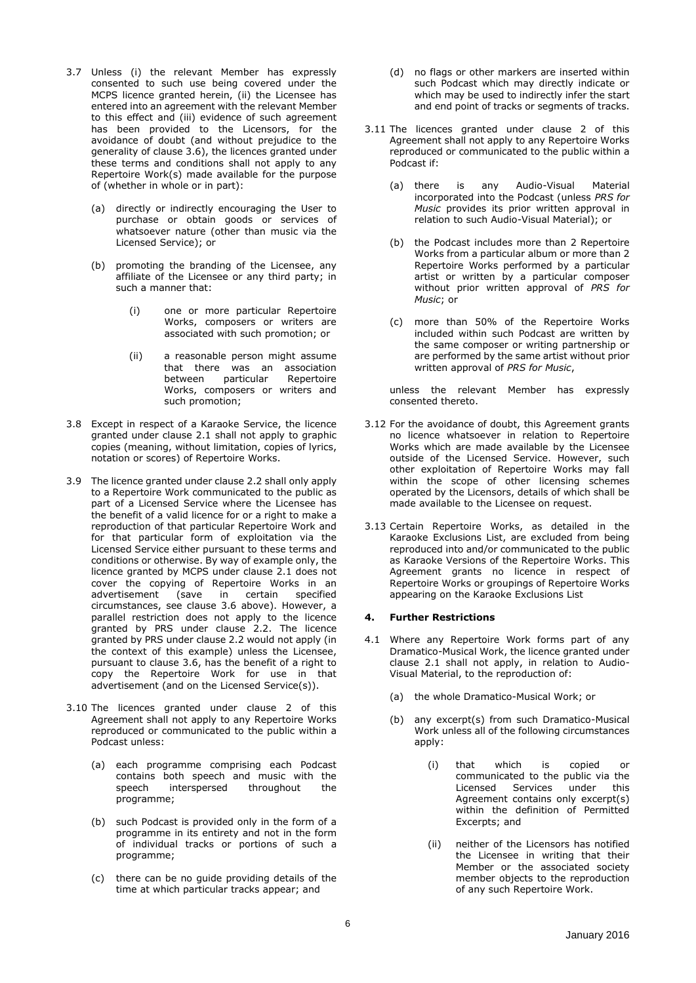- 3.7 Unless (i) the relevant Member has expressly consented to such use being covered under the MCPS licence granted herein, (ii) the Licensee has entered into an agreement with the relevant Member to this effect and (iii) evidence of such agreement has been provided to the Licensors, for the avoidance of doubt (and without prejudice to the generality of clause 3.6), the licences granted under these terms and conditions shall not apply to any Repertoire Work(s) made available for the purpose of (whether in whole or in part):
	- (a) directly or indirectly encouraging the User to purchase or obtain goods or services of whatsoever nature (other than music via the Licensed Service); or
	- (b) promoting the branding of the Licensee, any affiliate of the Licensee or any third party; in such a manner that:
		- (i) one or more particular Repertoire Works, composers or writers are associated with such promotion; or
		- (ii) a reasonable person might assume that there was an association between particular Repertoire Works, composers or writers and such promotion;
- 3.8 Except in respect of a Karaoke Service, the licence granted under clause 2.1 shall not apply to graphic copies (meaning, without limitation, copies of lyrics, notation or scores) of Repertoire Works.
- 3.9 The licence granted under clause 2.2 shall only apply to a Repertoire Work communicated to the public as part of a Licensed Service where the Licensee has the benefit of a valid licence for or a right to make a reproduction of that particular Repertoire Work and for that particular form of exploitation via the Licensed Service either pursuant to these terms and conditions or otherwise. By way of example only, the licence granted by MCPS under clause 2.1 does not cover the copying of Repertoire Works in an advertisement (save in certain specified circumstances, see clause 3.6 above). However, a parallel restriction does not apply to the licence granted by PRS under clause 2.2. The licence granted by PRS under clause 2.2 would not apply (in the context of this example) unless the Licensee, pursuant to clause 3.6, has the benefit of a right to copy the Repertoire Work for use in that advertisement (and on the Licensed Service(s)).
- 3.10 The licences granted under clause 2 of this Agreement shall not apply to any Repertoire Works reproduced or communicated to the public within a Podcast unless:
	- (a) each programme comprising each Podcast contains both speech and music with the<br>speech interspersed throughout the interspersed throughout the programme;
	- (b) such Podcast is provided only in the form of a programme in its entirety and not in the form of individual tracks or portions of such a programme;
	- (c) there can be no guide providing details of the time at which particular tracks appear; and
- (d) no flags or other markers are inserted within such Podcast which may directly indicate or which may be used to indirectly infer the start and end point of tracks or segments of tracks.
- 3.11 The licences granted under clause 2 of this Agreement shall not apply to any Repertoire Works reproduced or communicated to the public within a Podcast if:
	- (a) there is any Audio-Visual Material incorporated into the Podcast (unless *PRS for Music* provides its prior written approval in relation to such Audio-Visual Material); or
	- (b) the Podcast includes more than 2 Repertoire Works from a particular album or more than 2 Repertoire Works performed by a particular artist or written by a particular composer without prior written approval of *PRS for Music*; or
	- (c) more than 50% of the Repertoire Works included within such Podcast are written by the same composer or writing partnership or are performed by the same artist without prior written approval of *PRS for Music*,

unless the relevant Member has expressly consented thereto.

- 3.12 For the avoidance of doubt, this Agreement grants no licence whatsoever in relation to Repertoire Works which are made available by the Licensee outside of the Licensed Service. However, such other exploitation of Repertoire Works may fall within the scope of other licensing schemes operated by the Licensors, details of which shall be made available to the Licensee on request.
- 3.13 Certain Repertoire Works, as detailed in the Karaoke Exclusions List, are excluded from being reproduced into and/or communicated to the public as Karaoke Versions of the Repertoire Works. This Agreement grants no licence in respect of Repertoire Works or groupings of Repertoire Works appearing on the Karaoke Exclusions List

## **4. Further Restrictions**

- 4.1 Where any Repertoire Work forms part of any Dramatico-Musical Work, the licence granted under clause 2.1 shall not apply, in relation to Audio-Visual Material, to the reproduction of:
	- (a) the whole Dramatico-Musical Work; or
	- (b) any excerpt(s) from such Dramatico-Musical Work unless all of the following circumstances apply:
		- (i) that which is copied or communicated to the public via the<br>Licensed Services under this Services under this Agreement contains only excerpt(s) within the definition of Permitted Excerpts; and
		- (ii) neither of the Licensors has notified the Licensee in writing that their Member or the associated society member objects to the reproduction of any such Repertoire Work.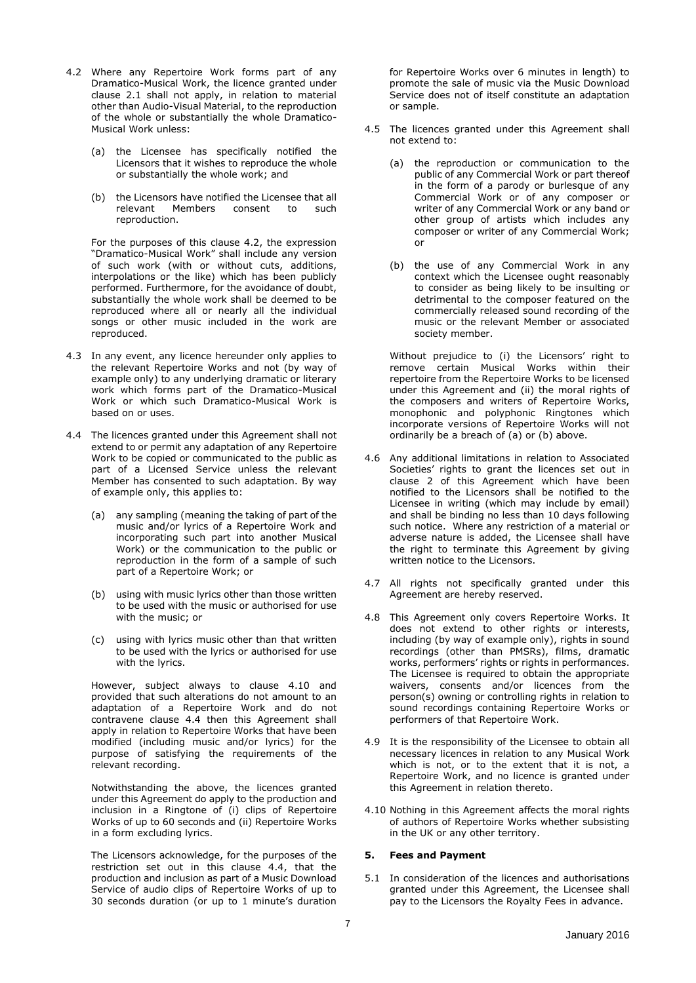- 4.2 Where any Repertoire Work forms part of any Dramatico-Musical Work, the licence granted under clause 2.1 shall not apply, in relation to material other than Audio-Visual Material, to the reproduction of the whole or substantially the whole Dramatico-Musical Work unless:
	- (a) the Licensee has specifically notified the Licensors that it wishes to reproduce the whole or substantially the whole work; and
	- (b) the Licensors have notified the Licensee that all relevant Members consent to such reproduction.

For the purposes of this clause 4.2, the expression "Dramatico-Musical Work" shall include any version of such work (with or without cuts, additions, interpolations or the like) which has been publicly performed. Furthermore, for the avoidance of doubt, substantially the whole work shall be deemed to be reproduced where all or nearly all the individual songs or other music included in the work are reproduced.

- 4.3 In any event, any licence hereunder only applies to the relevant Repertoire Works and not (by way of example only) to any underlying dramatic or literary work which forms part of the Dramatico-Musical Work or which such Dramatico-Musical Work is based on or uses.
- 4.4 The licences granted under this Agreement shall not extend to or permit any adaptation of any Repertoire Work to be copied or communicated to the public as part of a Licensed Service unless the relevant Member has consented to such adaptation. By way of example only, this applies to:
	- (a) any sampling (meaning the taking of part of the music and/or lyrics of a Repertoire Work and incorporating such part into another Musical Work) or the communication to the public or reproduction in the form of a sample of such part of a Repertoire Work; or
	- (b) using with music lyrics other than those written to be used with the music or authorised for use with the music; or
	- (c) using with lyrics music other than that written to be used with the lyrics or authorised for use with the lyrics.

However, subject always to clause 4.10 and provided that such alterations do not amount to an adaptation of a Repertoire Work and do not contravene clause 4.4 then this Agreement shall apply in relation to Repertoire Works that have been modified (including music and/or lyrics) for the purpose of satisfying the requirements of the relevant recording.

Notwithstanding the above, the licences granted under this Agreement do apply to the production and inclusion in a Ringtone of (i) clips of Repertoire Works of up to 60 seconds and (ii) Repertoire Works in a form excluding lyrics.

The Licensors acknowledge, for the purposes of the restriction set out in this clause 4.4, that the production and inclusion as part of a Music Download Service of audio clips of Repertoire Works of up to 30 seconds duration (or up to 1 minute's duration

for Repertoire Works over 6 minutes in length) to promote the sale of music via the Music Download Service does not of itself constitute an adaptation or sample.

- 4.5 The licences granted under this Agreement shall not extend to:
	- (a) the reproduction or communication to the public of any Commercial Work or part thereof in the form of a parody or burlesque of any Commercial Work or of any composer or writer of any Commercial Work or any band or other group of artists which includes any composer or writer of any Commercial Work; or
	- (b) the use of any Commercial Work in any context which the Licensee ought reasonably to consider as being likely to be insulting or detrimental to the composer featured on the commercially released sound recording of the music or the relevant Member or associated society member.

Without prejudice to (i) the Licensors' right to remove certain Musical Works within their repertoire from the Repertoire Works to be licensed under this Agreement and (ii) the moral rights of the composers and writers of Repertoire Works, monophonic and polyphonic Ringtones which incorporate versions of Repertoire Works will not ordinarily be a breach of (a) or (b) above.

- 4.6 Any additional limitations in relation to Associated Societies' rights to grant the licences set out in clause 2 of this Agreement which have been notified to the Licensors shall be notified to the Licensee in writing (which may include by email) and shall be binding no less than 10 days following such notice. Where any restriction of a material or adverse nature is added, the Licensee shall have the right to terminate this Agreement by giving written notice to the Licensors.
- 4.7 All rights not specifically granted under this Agreement are hereby reserved.
- 4.8 This Agreement only covers Repertoire Works. It does not extend to other rights or interests, including (by way of example only), rights in sound recordings (other than PMSRs), films, dramatic works, performers' rights or rights in performances. The Licensee is required to obtain the appropriate waivers, consents and/or licences from the person(s) owning or controlling rights in relation to sound recordings containing Repertoire Works or performers of that Repertoire Work.
- 4.9 It is the responsibility of the Licensee to obtain all necessary licences in relation to any Musical Work which is not, or to the extent that it is not, a Repertoire Work, and no licence is granted under this Agreement in relation thereto.
- 4.10 Nothing in this Agreement affects the moral rights of authors of Repertoire Works whether subsisting in the UK or any other territory.

## **5. Fees and Payment**

5.1 In consideration of the licences and authorisations granted under this Agreement, the Licensee shall pay to the Licensors the Royalty Fees in advance.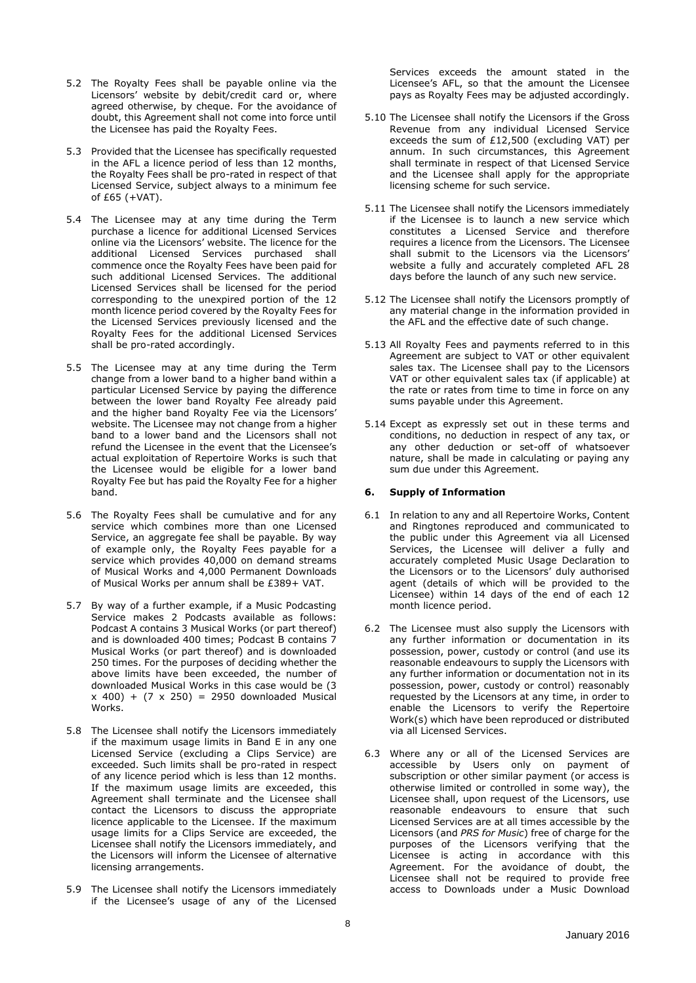- 5.2 The Royalty Fees shall be payable online via the Licensors' website by debit/credit card or, where agreed otherwise, by cheque. For the avoidance of doubt, this Agreement shall not come into force until the Licensee has paid the Royalty Fees.
- 5.3 Provided that the Licensee has specifically requested in the AFL a licence period of less than 12 months, the Royalty Fees shall be pro-rated in respect of that Licensed Service, subject always to a minimum fee of £65 (+VAT).
- 5.4 The Licensee may at any time during the Term purchase a licence for additional Licensed Services online via the Licensors' website. The licence for the additional Licensed Services purchased shall commence once the Royalty Fees have been paid for such additional Licensed Services. The additional Licensed Services shall be licensed for the period corresponding to the unexpired portion of the 12 month licence period covered by the Royalty Fees for the Licensed Services previously licensed and the Royalty Fees for the additional Licensed Services shall be pro-rated accordingly.
- 5.5 The Licensee may at any time during the Term change from a lower band to a higher band within a particular Licensed Service by paying the difference between the lower band Royalty Fee already paid and the higher band Royalty Fee via the Licensors' website. The Licensee may not change from a higher band to a lower band and the Licensors shall not refund the Licensee in the event that the Licensee's actual exploitation of Repertoire Works is such that the Licensee would be eligible for a lower band Royalty Fee but has paid the Royalty Fee for a higher band.
- 5.6 The Royalty Fees shall be cumulative and for any service which combines more than one Licensed Service, an aggregate fee shall be payable. By way of example only, the Royalty Fees payable for a service which provides 40,000 on demand streams of Musical Works and 4,000 Permanent Downloads of Musical Works per annum shall be £389+ VAT.
- 5.7 By way of a further example, if a Music Podcasting Service makes 2 Podcasts available as follows: Podcast A contains 3 Musical Works (or part thereof) and is downloaded 400 times; Podcast B contains 7 Musical Works (or part thereof) and is downloaded 250 times. For the purposes of deciding whether the above limits have been exceeded, the number of downloaded Musical Works in this case would be (3  $x$  400) + (7  $x$  250) = 2950 downloaded Musical Works.
- 5.8 The Licensee shall notify the Licensors immediately if the maximum usage limits in Band E in any one Licensed Service (excluding a Clips Service) are exceeded. Such limits shall be pro-rated in respect of any licence period which is less than 12 months. If the maximum usage limits are exceeded, this Agreement shall terminate and the Licensee shall contact the Licensors to discuss the appropriate licence applicable to the Licensee. If the maximum usage limits for a Clips Service are exceeded, the Licensee shall notify the Licensors immediately, and the Licensors will inform the Licensee of alternative licensing arrangements.
- 5.9 The Licensee shall notify the Licensors immediately if the Licensee's usage of any of the Licensed

Services exceeds the amount stated in the Licensee's AFL, so that the amount the Licensee pays as Royalty Fees may be adjusted accordingly.

- 5.10 The Licensee shall notify the Licensors if the Gross Revenue from any individual Licensed Service exceeds the sum of £12,500 (excluding VAT) per annum. In such circumstances, this Agreement shall terminate in respect of that Licensed Service and the Licensee shall apply for the appropriate licensing scheme for such service.
- 5.11 The Licensee shall notify the Licensors immediately if the Licensee is to launch a new service which constitutes a Licensed Service and therefore requires a licence from the Licensors. The Licensee shall submit to the Licensors via the Licensors' website a fully and accurately completed AFL 28 days before the launch of any such new service.
- 5.12 The Licensee shall notify the Licensors promptly of any material change in the information provided in the AFL and the effective date of such change.
- 5.13 All Royalty Fees and payments referred to in this Agreement are subject to VAT or other equivalent sales tax. The Licensee shall pay to the Licensors VAT or other equivalent sales tax (if applicable) at the rate or rates from time to time in force on any sums payable under this Agreement.
- 5.14 Except as expressly set out in these terms and conditions, no deduction in respect of any tax, or any other deduction or set-off of whatsoever nature, shall be made in calculating or paying any sum due under this Agreement.

## **6. Supply of Information**

- 6.1 In relation to any and all Repertoire Works, Content and Ringtones reproduced and communicated to the public under this Agreement via all Licensed Services, the Licensee will deliver a fully and accurately completed Music Usage Declaration to the Licensors or to the Licensors' duly authorised agent (details of which will be provided to the Licensee) within 14 days of the end of each 12 month licence period.
- 6.2 The Licensee must also supply the Licensors with any further information or documentation in its possession, power, custody or control (and use its reasonable endeavours to supply the Licensors with any further information or documentation not in its possession, power, custody or control) reasonably requested by the Licensors at any time, in order to enable the Licensors to verify the Repertoire Work(s) which have been reproduced or distributed via all Licensed Services.
- 6.3 Where any or all of the Licensed Services are accessible by Users only on payment of subscription or other similar payment (or access is otherwise limited or controlled in some way), the Licensee shall, upon request of the Licensors, use reasonable endeavours to ensure that such Licensed Services are at all times accessible by the Licensors (and *PRS for Music*) free of charge for the purposes of the Licensors verifying that the Licensee is acting in accordance with this Agreement. For the avoidance of doubt, the Licensee shall not be required to provide free access to Downloads under a Music Download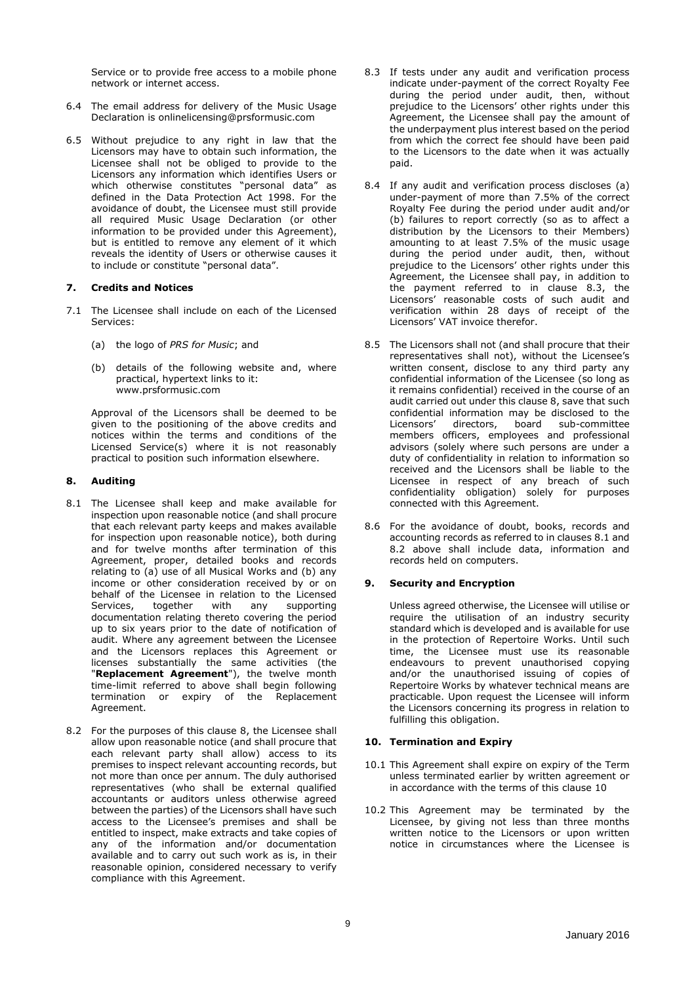Service or to provide free access to a mobile phone network or internet access.

- 6.4 The email address for delivery of the Music Usage Declaration is onlinelicensing@prsformusic.com
- 6.5 Without prejudice to any right in law that the Licensors may have to obtain such information, the Licensee shall not be obliged to provide to the Licensors any information which identifies Users or which otherwise constitutes "personal data" as defined in the Data Protection Act 1998. For the avoidance of doubt, the Licensee must still provide all required Music Usage Declaration (or other information to be provided under this Agreement), but is entitled to remove any element of it which reveals the identity of Users or otherwise causes it to include or constitute "personal data".

## **7. Credits and Notices**

- 7.1 The Licensee shall include on each of the Licensed Services:
	- (a) the logo of *PRS for Music*; and
	- (b) details of the following website and, where practical, hypertext links to it: www.prsformusic.com

Approval of the Licensors shall be deemed to be given to the positioning of the above credits and notices within the terms and conditions of the Licensed Service(s) where it is not reasonably practical to position such information elsewhere.

## **8. Auditing**

- 8.1 The Licensee shall keep and make available for inspection upon reasonable notice (and shall procure that each relevant party keeps and makes available for inspection upon reasonable notice), both during and for twelve months after termination of this Agreement, proper, detailed books and records relating to (a) use of all Musical Works and (b) any income or other consideration received by or on behalf of the Licensee in relation to the Licensed<br>Services, together with any supporting Services, together with any supporting documentation relating thereto covering the period up to six years prior to the date of notification of audit. Where any agreement between the Licensee and the Licensors replaces this Agreement or licenses substantially the same activities (the "**Replacement Agreement**"), the twelve month time-limit referred to above shall begin following termination or expiry of the Replacement Agreement.
- 8.2 For the purposes of this clause 8, the Licensee shall allow upon reasonable notice (and shall procure that each relevant party shall allow) access to its premises to inspect relevant accounting records, but not more than once per annum. The duly authorised representatives (who shall be external qualified accountants or auditors unless otherwise agreed between the parties) of the Licensors shall have such access to the Licensee's premises and shall be entitled to inspect, make extracts and take copies of any of the information and/or documentation available and to carry out such work as is, in their reasonable opinion, considered necessary to verify compliance with this Agreement.
- 8.3 If tests under any audit and verification process indicate under-payment of the correct Royalty Fee during the period under audit, then, without prejudice to the Licensors' other rights under this Agreement, the Licensee shall pay the amount of the underpayment plus interest based on the period from which the correct fee should have been paid to the Licensors to the date when it was actually paid.
- 8.4 If any audit and verification process discloses (a) under-payment of more than 7.5% of the correct Royalty Fee during the period under audit and/or (b) failures to report correctly (so as to affect a distribution by the Licensors to their Members) amounting to at least 7.5% of the music usage during the period under audit, then, without prejudice to the Licensors' other rights under this Agreement, the Licensee shall pay, in addition to the payment referred to in clause 8.3, the Licensors' reasonable costs of such audit and verification within 28 days of receipt of the Licensors' VAT invoice therefor.
- 8.5 The Licensors shall not (and shall procure that their representatives shall not), without the Licensee's written consent, disclose to any third party any confidential information of the Licensee (so long as it remains confidential) received in the course of an audit carried out under this clause 8, save that such confidential information may be disclosed to the<br>Licensors' directors, board sub-committee Licensors' directors, board sub-committee members officers, employees and professional advisors (solely where such persons are under a duty of confidentiality in relation to information so received and the Licensors shall be liable to the Licensee in respect of any breach of such confidentiality obligation) solely for purposes connected with this Agreement.
- 8.6 For the avoidance of doubt, books, records and accounting records as referred to in clauses 8.1 and 8.2 above shall include data, information and records held on computers.

## **9. Security and Encryption**

Unless agreed otherwise, the Licensee will utilise or require the utilisation of an industry security standard which is developed and is available for use in the protection of Repertoire Works. Until such time, the Licensee must use its reasonable endeavours to prevent unauthorised copying and/or the unauthorised issuing of copies of Repertoire Works by whatever technical means are practicable. Upon request the Licensee will inform the Licensors concerning its progress in relation to fulfilling this obligation.

## **10. Termination and Expiry**

- 10.1 This Agreement shall expire on expiry of the Term unless terminated earlier by written agreement or in accordance with the terms of this clause 10
- 10.2 This Agreement may be terminated by the Licensee, by giving not less than three months written notice to the Licensors or upon written notice in circumstances where the Licensee is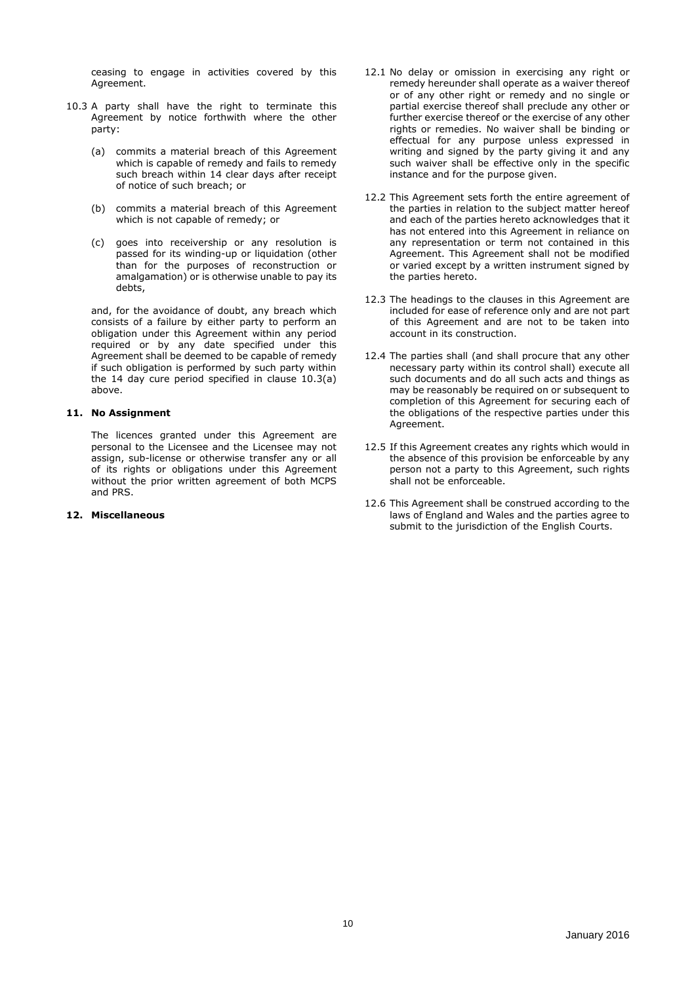ceasing to engage in activities covered by this Agreement.

- 10.3 A party shall have the right to terminate this Agreement by notice forthwith where the other party:
	- (a) commits a material breach of this Agreement which is capable of remedy and fails to remedy such breach within 14 clear days after receipt of notice of such breach; or
	- (b) commits a material breach of this Agreement which is not capable of remedy; or
	- (c) goes into receivership or any resolution is passed for its winding-up or liquidation (other than for the purposes of reconstruction or amalgamation) or is otherwise unable to pay its debts,

and, for the avoidance of doubt, any breach which consists of a failure by either party to perform an obligation under this Agreement within any period required or by any date specified under this Agreement shall be deemed to be capable of remedy if such obligation is performed by such party within the 14 day cure period specified in clause 10.3(a) above.

## **11. No Assignment**

The licences granted under this Agreement are personal to the Licensee and the Licensee may not assign, sub-license or otherwise transfer any or all of its rights or obligations under this Agreement without the prior written agreement of both MCPS and PRS.

#### **12. Miscellaneous**

- 12.1 No delay or omission in exercising any right or remedy hereunder shall operate as a waiver thereof or of any other right or remedy and no single or partial exercise thereof shall preclude any other or further exercise thereof or the exercise of any other rights or remedies. No waiver shall be binding or effectual for any purpose unless expressed in writing and signed by the party giving it and any such waiver shall be effective only in the specific instance and for the purpose given.
- 12.2 This Agreement sets forth the entire agreement of the parties in relation to the subject matter hereof and each of the parties hereto acknowledges that it has not entered into this Agreement in reliance on any representation or term not contained in this Agreement. This Agreement shall not be modified or varied except by a written instrument signed by the parties hereto.
- 12.3 The headings to the clauses in this Agreement are included for ease of reference only and are not part of this Agreement and are not to be taken into account in its construction.
- 12.4 The parties shall (and shall procure that any other necessary party within its control shall) execute all such documents and do all such acts and things as may be reasonably be required on or subsequent to completion of this Agreement for securing each of the obligations of the respective parties under this Agreement.
- 12.5 If this Agreement creates any rights which would in the absence of this provision be enforceable by any person not a party to this Agreement, such rights shall not be enforceable.
- 12.6 This Agreement shall be construed according to the laws of England and Wales and the parties agree to submit to the jurisdiction of the English Courts.